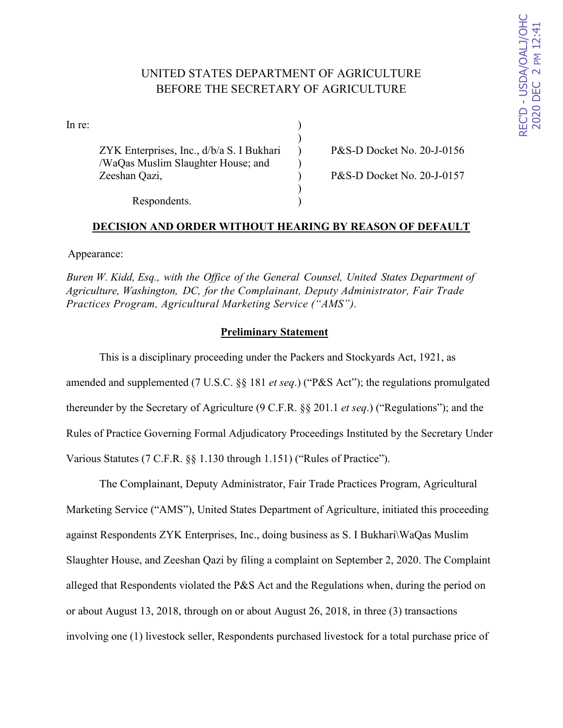# UNITED STATES DEPARTMENT OF AGRICULTURE BEFORE THE SECRETARY OF AGRICULTURE

)

)

 $\ln$  re:  $\qquad \qquad$  )

ZYK Enterprises, Inc.,  $d/b/a S$ . I Bukhari ) P&S-D Docket No. 20-J-0156 /WaQas Muslim Slaughter House; and ) Zeeshan Qazi, ) P&S-D Docket No. 20-J-0157

Respondents.

## **DECISION AND ORDER WITHOUT HEARING BY REASON OF DEFAULT**

Appearance:

*Buren W. Kidd, Esq., with the Office of the General Counsel, United States Department of Agriculture, Washington, DC, for the Complainant, Deputy Administrator, Fair Trade Practices Program, Agricultural Marketing Service ("AMS").*

## **Preliminary Statement**

This is a disciplinary proceeding under the Packers and Stockyards Act, 1921, as amended and supplemented (7 U.S.C. §§ 181 *et seq*.) ("P&S Act"); the regulations promulgated thereunder by the Secretary of Agriculture (9 C.F.R. §§ 201.1 *et seq*.) ("Regulations"); and the Rules of Practice Governing Formal Adjudicatory Proceedings Instituted by the Secretary Under Various Statutes (7 C.F.R. §§ 1.130 through 1.151) ("Rules of Practice").

The Complainant, Deputy Administrator, Fair Trade Practices Program, Agricultural Marketing Service ("AMS"), United States Department of Agriculture, initiated this proceeding against Respondents ZYK Enterprises, Inc., doing business as S. I Bukhari\WaQas Muslim Slaughter House, and Zeeshan Qazi by filing a complaint on September 2, 2020. The Complaint alleged that Respondents violated the P&S Act and the Regulations when, during the period on or about August 13, 2018, through on or about August 26, 2018, in three (3) transactions involving one (1) livestock seller, Respondents purchased livestock for a total purchase price of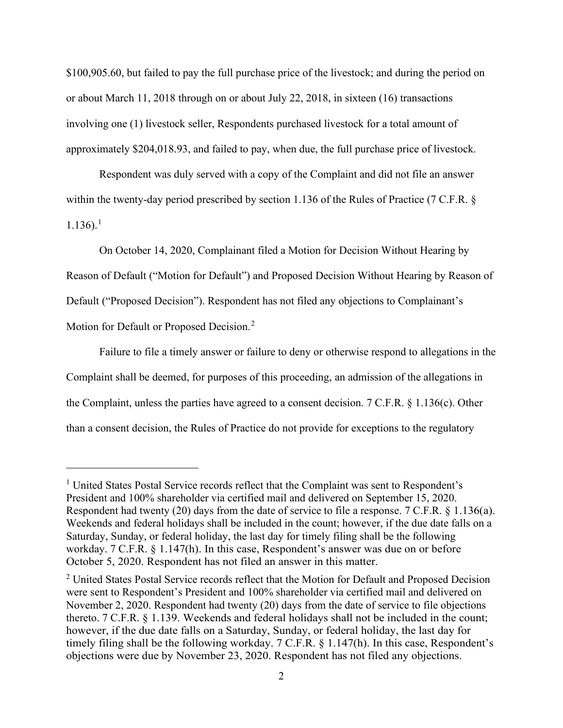\$100,905.60, but failed to pay the full purchase price of the livestock; and during the period on or about March 11, 2018 through on or about July 22, 2018, in sixteen (16) transactions involving one (1) livestock seller, Respondents purchased livestock for a total amount of approximately \$204,018.93, and failed to pay, when due, the full purchase price of livestock.

Respondent was duly served with a copy of the Complaint and did not file an answer within the twenty-day period prescribed by section 1.136 of the Rules of Practice (7 C.F.R. §  $1.136$ ).<sup>1</sup>

On October 14, 2020, Complainant filed a Motion for Decision Without Hearing by Reason of Default ("Motion for Default") and Proposed Decision Without Hearing by Reason of Default ("Proposed Decision"). Respondent has not filed any objections to Complainant's Motion for Default or Proposed Decision.<sup>2</sup>

Failure to file a timely answer or failure to deny or otherwise respond to allegations in the Complaint shall be deemed, for purposes of this proceeding, an admission of the allegations in the Complaint, unless the parties have agreed to a consent decision. 7 C.F.R. § 1.136(c). Other than a consent decision, the Rules of Practice do not provide for exceptions to the regulatory

<sup>&</sup>lt;sup>1</sup> United States Postal Service records reflect that the Complaint was sent to Respondent's President and 100% shareholder via certified mail and delivered on September 15, 2020. Respondent had twenty (20) days from the date of service to file a response. 7 C.F.R. § 1.136(a). Weekends and federal holidays shall be included in the count; however, if the due date falls on a Saturday, Sunday, or federal holiday, the last day for timely filing shall be the following workday. 7 C.F.R. § 1.147(h). In this case, Respondent's answer was due on or before October 5, 2020. Respondent has not filed an answer in this matter.

<sup>&</sup>lt;sup>2</sup> United States Postal Service records reflect that the Motion for Default and Proposed Decision were sent to Respondent's President and 100% shareholder via certified mail and delivered on November 2, 2020. Respondent had twenty (20) days from the date of service to file objections thereto. 7 C.F.R. § 1.139. Weekends and federal holidays shall not be included in the count; however, if the due date falls on a Saturday, Sunday, or federal holiday, the last day for timely filing shall be the following workday. 7 C.F.R. § 1.147(h). In this case, Respondent's objections were due by November 23, 2020. Respondent has not filed any objections.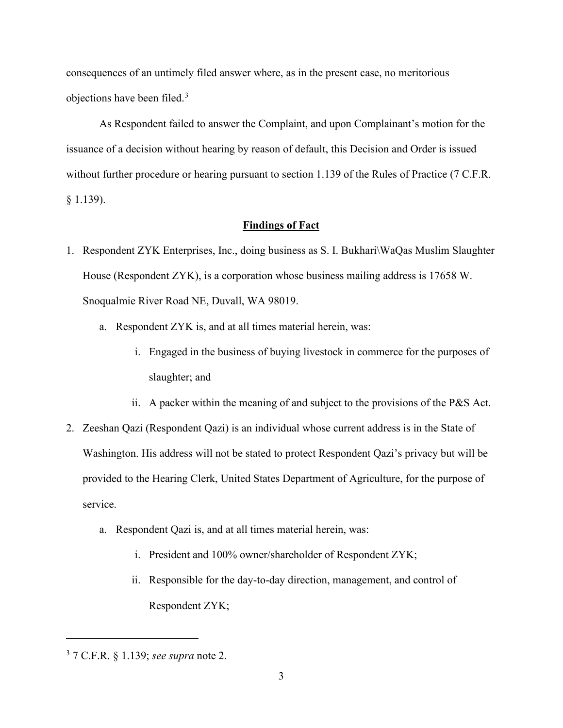consequences of an untimely filed answer where, as in the present case, no meritorious objections have been filed.<sup>3</sup>

As Respondent failed to answer the Complaint, and upon Complainant's motion for the issuance of a decision without hearing by reason of default, this Decision and Order is issued without further procedure or hearing pursuant to section 1.139 of the Rules of Practice (7 C.F.R. § 1.139).

### **Findings of Fact**

- 1. Respondent ZYK Enterprises, Inc., doing business as S. I. Bukhari\WaQas Muslim Slaughter House (Respondent ZYK), is a corporation whose business mailing address is 17658 W. Snoqualmie River Road NE, Duvall, WA 98019.
	- a. Respondent ZYK is, and at all times material herein, was:
		- i. Engaged in the business of buying livestock in commerce for the purposes of slaughter; and
		- ii. A packer within the meaning of and subject to the provisions of the P&S Act.
- 2. Zeeshan Qazi (Respondent Qazi) is an individual whose current address is in the State of Washington. His address will not be stated to protect Respondent Qazi's privacy but will be provided to the Hearing Clerk, United States Department of Agriculture, for the purpose of service.
	- a. Respondent Qazi is, and at all times material herein, was:
		- i. President and 100% owner/shareholder of Respondent ZYK;
		- ii. Responsible for the day-to-day direction, management, and control of Respondent ZYK;

<sup>3</sup> 7 C.F.R. § 1.139; *see supra* note 2.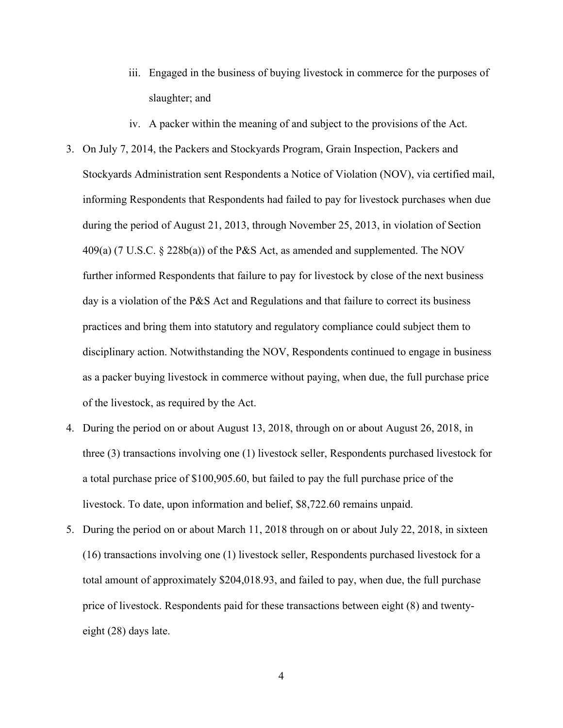- iii. Engaged in the business of buying livestock in commerce for the purposes of slaughter; and
- iv. A packer within the meaning of and subject to the provisions of the Act.
- 3. On July 7, 2014, the Packers and Stockyards Program, Grain Inspection, Packers and Stockyards Administration sent Respondents a Notice of Violation (NOV), via certified mail, informing Respondents that Respondents had failed to pay for livestock purchases when due during the period of August 21, 2013, through November 25, 2013, in violation of Section 409(a) (7 U.S.C. § 228b(a)) of the P&S Act, as amended and supplemented. The NOV further informed Respondents that failure to pay for livestock by close of the next business day is a violation of the P&S Act and Regulations and that failure to correct its business practices and bring them into statutory and regulatory compliance could subject them to disciplinary action. Notwithstanding the NOV, Respondents continued to engage in business as a packer buying livestock in commerce without paying, when due, the full purchase price of the livestock, as required by the Act.
- 4. During the period on or about August 13, 2018, through on or about August 26, 2018, in three (3) transactions involving one (1) livestock seller, Respondents purchased livestock for a total purchase price of \$100,905.60, but failed to pay the full purchase price of the livestock. To date, upon information and belief, \$8,722.60 remains unpaid.
- 5. During the period on or about March 11, 2018 through on or about July 22, 2018, in sixteen (16) transactions involving one (1) livestock seller, Respondents purchased livestock for a total amount of approximately \$204,018.93, and failed to pay, when due, the full purchase price of livestock. Respondents paid for these transactions between eight (8) and twentyeight (28) days late.

4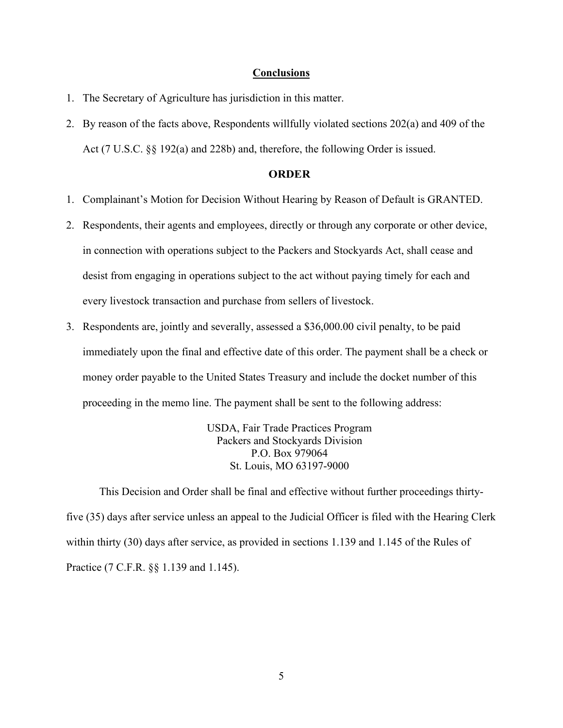#### **Conclusions**

- 1. The Secretary of Agriculture has jurisdiction in this matter.
- 2. By reason of the facts above, Respondents willfully violated sections 202(a) and 409 of the Act (7 U.S.C. §§ 192(a) and 228b) and, therefore, the following Order is issued.

## **ORDER**

- 1. Complainant's Motion for Decision Without Hearing by Reason of Default is GRANTED.
- 2. Respondents, their agents and employees, directly or through any corporate or other device, in connection with operations subject to the Packers and Stockyards Act, shall cease and desist from engaging in operations subject to the act without paying timely for each and every livestock transaction and purchase from sellers of livestock.
- 3. Respondents are, jointly and severally, assessed a \$36,000.00 civil penalty, to be paid immediately upon the final and effective date of this order. The payment shall be a check or money order payable to the United States Treasury and include the docket number of this proceeding in the memo line. The payment shall be sent to the following address:

USDA, Fair Trade Practices Program Packers and Stockyards Division P.O. Box 979064 St. Louis, MO 63197-9000

 This Decision and Order shall be final and effective without further proceedings thirtyfive (35) days after service unless an appeal to the Judicial Officer is filed with the Hearing Clerk within thirty (30) days after service, as provided in sections 1.139 and 1.145 of the Rules of Practice (7 C.F.R. §§ 1.139 and 1.145).